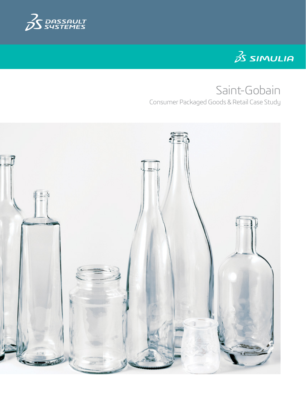



# Saint-Gobain

Consumer Packaged Goods & Retail Case Study

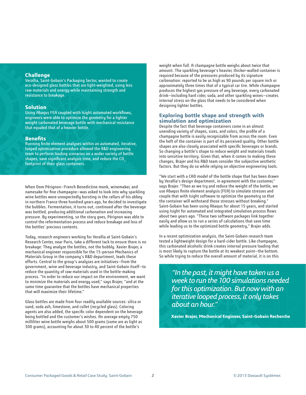# **Challenge**

Verallia, Saint-Gobain's Packaging Sector, wanted to create eco-designed glass bottles that are light-weighted, using less raw materials and energy while maintaining strength and resistance to breakage.

# **Solution**

Using Abaqus FEA coupled with Isight automated workflows, engineers were able to optimize the geometry for a lighter weight carbonated beverage bottle with mechanical resistance that equaled that of a heavier bottle.

### **Benefits**

Running finite element analyses within an automated, iterative, looped optimization procedure allowed the R&D engineering team to perform loading scenarios on a wider variety of bottle shapes, save significant analysis time, and reduce the CO<sub>2</sub> footprint of their glass containers.

When Dom Pérignon—French Benedictine monk, winemaker, and namesake for fine champagne—was asked to look into why sparkling wine bottles were unexpectedly bursting in the cellars of his abbey in northern France three hundred years ago, he decided to investigate the bubbles. Fermentation, it turns out, continued after the beverage was bottled, producing additional carbonation and increasing pressure. By experimenting, so the story goes, Pérignon was able to control the refermentation process and reduce breakage and loss of the bottles' precious contents.

Today, research engineers working for Verallia at Saint-Gobain's Research Center, near Paris, take a different tack to ensure there is no breakage: They analyze the bottles, not the bubbly. Xavier Brajer, a mechanical engineer responsible for the 15-person Mechanics of Materials Group in the company's R&D department, leads these efforts. Central to the group's analyses are initiatives—from the government, wine and beverage industry, and Saint-Gobain itself—to reduce the quantity of raw materials used in the bottle-making process. "In order to reduce our impact on the environment, we want to minimize the materials and energy used," says Brajer, "and at the same time guarantee that the bottles have mechanical properties that will maximize their lifetime."

Glass bottles are made from four readily available sources: silica or sand, soda ash, limestone, and cullet (recycled glass). Coloring agents are also added, the specific color dependent on the beverage being bottled and the customer's wishes. An average empty 750 milliliter wine bottle weighs about 500 grams (some are as light as 300 grams), accounting for about 30 to 40 percent of the bottle's

weight when full. A champagne bottle weighs about twice that amount. The sparkling beverage's heavier, thicker-walled container is required because of the pressures produced by its signature carbonation: reported to be as high as 90 pounds per square inch or approximately three times that of a typical car tire. While champagne produces the highest gas pressure of any beverage, every carbonated drink—including hard cider, soda, and other sparkling wines—creates internal stress on the glass that needs to be considered when designing lighter bottles.

# **Exploring bottle shape and strength with simulation and optimization**

Despite the fact that beverage containers come in an almost unending variety of shapes, sizes, and colors, the profile of a champagne bottle is easily recognizable from across the room. Even the heft of the container is part of its perceived quality. Other bottle shapes are also closely associated with specific beverages or brands. So changing a bottle's shape to reduce weight and materials treads into sensitive territory. Given that, when it comes to making these changes, Brajer and his R&D team consider the subjective aesthetic factors. But they do so while relying on objective engineering tools.

"We start with a CAD model of the bottle shape that has been drawn by Verallia's design department, in agreement with the customer," says Brajer. "Then as we try and reduce the weight of the bottle, we use Abaqus finite element analysis (FEA) to simulate stresses and couple that with Isight software to optimize the geometry so that the container will withstand those stresses without breaking." Saint-Gobain has been using Abaqus for about 15 years, and started using Isight for automated and integrated simulation process flows about two years ago. "These two software packages link together easily and allow us to run a series of calculations that save time while leading us to the optimized bottle geometry," Brajer adds.

In a recent optimization analysis, the Saint-Gobain research team tested a lightweight design for a hard-cider bottle. Like champagne, this carbonated alcoholic drink creates internal pressure loading that is most likely to rupture the bottle at its weakest point—the bottom. So while trying to reduce the overall amount of material, it is on this

*"In the past, it might have taken us a week to run the 100 simulations needed for this optimization. But now with an iterative looped process, it only takes about an hour."*

**Xavier Brajer, Mechanical Engineer, Saint-Gobain Recherche**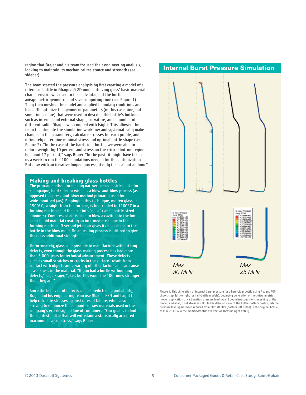region that Brajer and his team focused their engineering analysis, looking to maintain its mechanical resistance and strength (see sidebar).

The team started the pressure analysis by first creating a model of a reference bottle in Abaqus: A 2D model utilizing glass' basic material characteristics was used to take advantage of the bottle's axisymmetric geometry and save computing time (see Figure 1). They then meshed the model and applied boundary conditions and loads. To optimize the geometric parameters (in this case nine, but sometimes more) that were used to describe the bottle's bottom such as internal and external shape, curvature, and a number of different radii—Abaqus was coupled with Isight. This allowed the team to automate the simulation workflow and systematically make changes in the parameters, calculate stresses for each profile, and ultimately determine minimal stress and optimal bottle shape (see Figure 2). "In the case of the hard-cider bottle, we were able to reduce weight by 10 percent and stress on the critical bottom region by about 17 percent," says Brajer. "In the past, it might have taken us a week to run the 100 simulations needed for this optimization. But now with an iterative looped process, it only takes about an hour."

## **Making and breaking glass bottles**

The primary method for making narrow-necked bottles—like for champagne, hard cider, or wine—is a blow-and-blow process (as opposed to a press-and-blow method primarily used for wide-mouthed jars). Employing this technique, molten glass at 1500º C, straight from the furnace, is first cooled to 1100º C in a forming machine and then cut into "gobs" (small bottle-sized amounts). Compressed air is used to blow a cavity into the hot semi-liquid material creating an intermediate shape in the forming machine. A second jet of air gives its final shape to the bottle in the blow mold. An annealing process is utilized to give the glass additional strength.

Unfortunately, glass is impossible to manufacture without tiny defects, even though the glass-making process has had more than 5,000 years for technical advancement. These defects such as small scratches or cracks in the surface—result from contact with objects and a variety of other factors and can cause a weakness in the material. "If you had a bottle without any defects," says Brajer, "glass bottles would be 100 times stronger than they are."

Since the behavior of defects can be predicted by probability, Brajer and his engineering team use Abaqus FEA and Isight to help calculate stresses against rates of failure, while also striving to minimize the amounts of raw materials used in the company's eco-designed line of containers. "Our goal is to find the lightest bottle that will withstand a statistically accepted maximum level of stress," says Brajer.

# Internal Burst Pressure Simulation



Figure 1. This simulation of internal burst pressure for a hard-cider bottle using Abaqus FEA shows (top, left to right for half-bottle models): geometry generation of the axisymmetric model; application of carbonation pressure loading and boundary conditions; meshing of the model; and analysis of stress results. In the detailed view of the bottle-bottom profile, internal pressure loading has been reduced from Max 30 MPa (bottom left detail) in the original bottle to Max 25 MPa in the modified/optimized version (bottom right detail).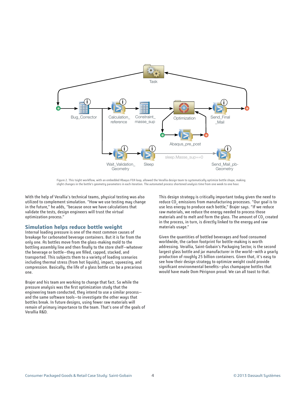

Figure 2. This Isight workflow, with an embedded Abaqus FEA loop, allowed the Verallia design team to systematically optimize bottle shape, making slight changes in the bottle's geometry parameters in each iteration. The automated process shortened analysis time from one week to one hour.

With the help of Verallia's technical teams, physical testing was also utilized to complement simulation. "How we use testing may change in the future," he adds, "because once we have calculations that validate the tests, design engineers will trust the virtual optimization process."

# **Simulation helps reduce bottle weight**

Internal loading pressure is one of the most common causes of breakage for carbonated beverage containers. But it is far from the only one. As bottles move from the glass-making mold to the bottling assembly line and then finally to the store shelf—whatever the beverage or bottle—they are filled, capped, stacked, and transported. This subjects them to a variety of loading scenarios including thermal stress (from hot liquids), impact, squeezing, and compression. Basically, the life of a glass bottle can be a precarious one.

Brajer and his team are working to change that fact. So while the pressure analysis was the first optimization study that the engineering team conducted, they intend to use a similar process and the same software tools—to investigate the other ways that bottles break. In future designs, using fewer raw materials will remain of primary importance to the team. That's one of the goals of Verallia R&D.

This design strategy is critically important today given the need to reduce CO $_{\tiny 2}$  emissions from manufacturing processes. "Our goal is to use less energy to produce each bottle," Brajer says. "If we reduce raw materials, we reduce the energy needed to process those materials and to melt and form the glass. The amount of CO<sub>2</sub> created in the process, in turn, is directly linked to the energy and raw materials usage."

Given the quantities of bottled beverages and food consumed worldwide, the carbon footprint for bottle-making is worth addressing. Verallia, Saint-Gobain's Packaging Sector, is the second largest glass bottle and jar manufacturer in the world—with a yearly production of roughly 25 billion containers. Given that, it's easy to see how their design strategy to optimize weight could provide significant environmental benefits—plus champagne bottles that would have made Dom Pérignon proud. We can all toast to that.